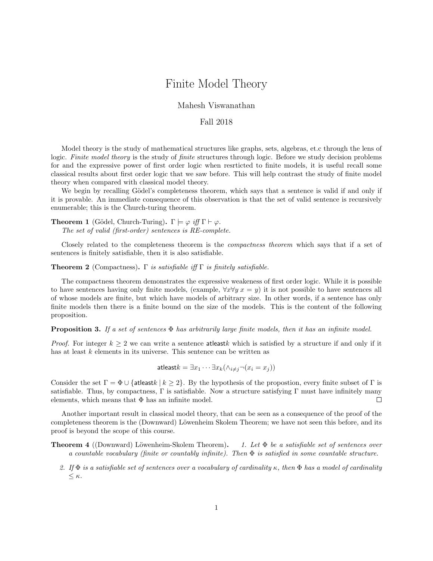# Finite Model Theory

### Mahesh Viswanathan

### Fall 2018

Model theory is the study of mathematical structures like graphs, sets, algebras, et.c through the lens of logic. Finite model theory is the study of finite structures through logic. Before we study decision problems for and the expressive power of first order logic when resrticted to finite models, it is useful recall some classical results about first order logic that we saw before. This will help contrast the study of finite model theory when compared with classical model theory.

We begin by recalling Gödel's completeness theorem, which says that a sentence is valid if and only if it is provable. An immediate consequence of this observation is that the set of valid sentence is recursively enumerable; this is the Church-turing theorem.

**Theorem 1** (Gödel, Church-Turing).  $\Gamma \models \varphi$  *iff*  $\Gamma \vdash \varphi$ . The set of valid (first-order) sentences is RE-complete.

Closely related to the completeness theorem is the compactness theorem which says that if a set of sentences is finitely satisfiable, then it is also satisfiable.

**Theorem 2** (Compactness). Γ is satisfiable iff  $\Gamma$  is finitely satisfiable.

The compactness theorem demonstrates the expressive weakeness of first order logic. While it is possible to have sentences having only finite models, (example,  $\forall x \forall y \ x = y$ ) it is not possible to have sentences all of whose models are finite, but which have models of arbitrary size. In other words, if a sentence has only finite models then there is a finite bound on the size of the models. This is the content of the following proposition.

**Proposition 3.** If a set of sentences  $\Phi$  has arbitrarily large finite models, then it has an infinite model.

*Proof.* For integer  $k \geq 2$  we can write a sentence at least k which is satisfied by a structure if and only if it has at least k elements in its universe. This sentence can be written as

$$
\mathsf{atleast}k = \exists x_1 \cdots \exists x_k (\land_{i \neq j} \neg (x_i = x_j))
$$

Consider the set  $\Gamma = \Phi \cup \{\text{atleast } k \mid k \geq 2\}$ . By the hypothesis of the propostion, every finite subset of  $\Gamma$  is satisfiable. Thus, by compactness,  $\Gamma$  is satisfiable. Now a structure satisfying  $\Gamma$  must have infinitely many elements, which means that  $\Phi$  has an infinite model.  $\Box$ 

Another important result in classical model theory, that can be seen as a consequence of the proof of the completeness theorem is the (Downward) Löwenheim Skolem Theorem; we have not seen this before, and its proof is beyond the scope of this course.

**Theorem 4** ((Downward) Löwenheim-Skolem Theorem). 1. Let  $\Phi$  be a satisfiable set of sentences over a countable vocabulary (finite or countably infinite). Then  $\Phi$  is satisfied in some countable structure.

2. If  $\Phi$  is a satisfiable set of sentences over a vocabulary of cardinality  $\kappa$ , then  $\Phi$  has a model of cardinality  $\leq \kappa$ .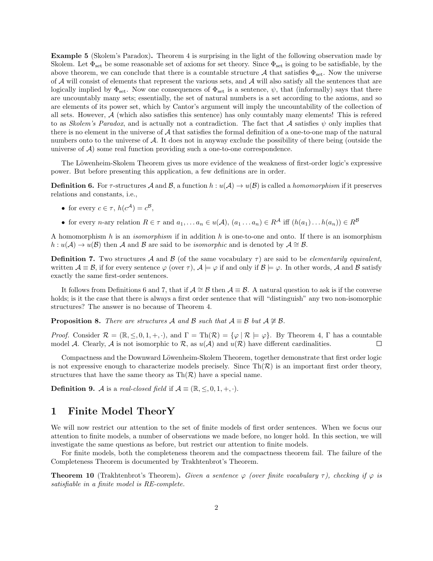Example 5 (Skolem's Paradox). Theorem 4 is surprising in the light of the following observation made by Skolem. Let  $\Phi_{\text{set}}$  be some reasonable set of axioms for set theory. Since  $\Phi_{\text{set}}$  is going to be satisfiable, by the above theorem, we can conclude that there is a countable structure A that satisfies  $\Phi_{\text{set}}$ . Now the universe of  $A$  will consist of elements that represent the various sets, and  $A$  will also satisfy all the sentences that are logically implied by  $\Phi_{\text{set}}$ . Now one consequences of  $\Phi_{\text{set}}$  is a sentence,  $\psi$ , that (informally) says that there are uncountably many sets; essentially, the set of natural numbers is a set according to the axioms, and so are elements of its power set, which by Cantor's argument will imply the uncountability of the collection of all sets. However, A (which also satisfies this sentence) has only countably many elements! This is refered to as Skolem's Paradox, and is actually not a contradiction. The fact that A satisfies  $\psi$  only implies that there is no element in the universe of  $A$  that satisfies the formal definition of a one-to-one map of the natural numbers onto to the universe of A. It does not in anyway exclude the possibility of there being (outside the universe of  $A$ ) some real function providing such a one-to-one correspondence.

The Löwenheim-Skolem Theorem gives us more evidence of the weakness of first-order logic's expressive power. But before presenting this application, a few definitions are in order.

**Definition 6.** For  $\tau$ -structures A and B, a function  $h : u(\mathcal{A}) \to u(\mathcal{B})$  is called a *homomorphism* if it preserves relations and constants, i.e.,

- for every  $c \in \tau$ ,  $h(c^{\mathcal{A}}) = c^{\mathcal{B}}$ ,
- for every n-ary relation  $R \in \tau$  and  $a_1, \ldots a_n \in u(\mathcal{A}), (a_1 \ldots a_n) \in R^{\mathcal{A}}$  iff  $(h(a_1) \ldots h(a_n)) \in R^{\mathcal{B}}$

A homomorphism h is an *isomorphism* if in addition h is one-to-one and onto. If there is an isomorphism  $h: u(\mathcal{A}) \to u(\mathcal{B})$  then A and B are said to be *isomorphic* and is denoted by  $\mathcal{A} \cong \mathcal{B}$ .

**Definition 7.** Two structures A and B (of the same vocabulary  $\tau$ ) are said to be *elementarily equivalent*, written  $\mathcal{A} \equiv \mathcal{B}$ , if for every sentence  $\varphi$  (over  $\tau$ ),  $\mathcal{A} \models \varphi$  if and only if  $\mathcal{B} \models \varphi$ . In other words,  $\mathcal{A}$  and  $\mathcal{B}$  satisfy exactly the same first-order sentences.

It follows from Definitions 6 and 7, that if  $\mathcal{A} \cong \mathcal{B}$  then  $\mathcal{A} \equiv \mathcal{B}$ . A natural question to ask is if the converse holds; is it the case that there is always a first order sentence that will "distinguish" any two non-isomorphic structures? The answer is no because of Theorem 4.

**Proposition 8.** There are structures A and B such that  $\mathcal{A} \equiv \mathcal{B}$  but  $\mathcal{A} \not\cong \mathcal{B}$ .

*Proof.* Consider  $\mathcal{R} = (\mathbb{R}, \leq, 0, 1, +, \cdot)$ , and  $\Gamma = \text{Th}(\mathcal{R}) = \{ \varphi \mid \mathcal{R} \models \varphi \}$ . By Theorem 4,  $\Gamma$  has a countable model A. Clearly, A is not isomorphic to R, as  $u(A)$  and  $u(R)$  have different cardinalities.  $\Box$ 

Compactness and the Downward Löwenheim-Skolem Theorem, together demonstrate that first order logic is not expressive enough to characterize models precisely. Since  $\text{Th}(\mathcal{R})$  is an important first order theory, structures that have the same theory as  $\text{Th}(\mathcal{R})$  have a special name.

**Definition 9.** A is a real-closed field if  $A \equiv (\mathbb{R}, \leq, 0, 1, +, \cdot)$ .

## 1 Finite Model TheorY

We will now restrict our attention to the set of finite models of first order sentences. When we focus our attention to finite models, a number of observations we made before, no longer hold. In this section, we will investigate the same questions as before, but restrict our attention to finite models.

For finite models, both the completeness theorem and the compactness theorem fail. The failure of the Completeness Theorem is documented by Trakhtenbrot's Theorem.

**Theorem 10** (Trakhtenbrot's Theorem). Given a sentence  $\varphi$  (over finite vocabulary  $\tau$ ), checking if  $\varphi$  is satisfiable in a finite model is RE-complete.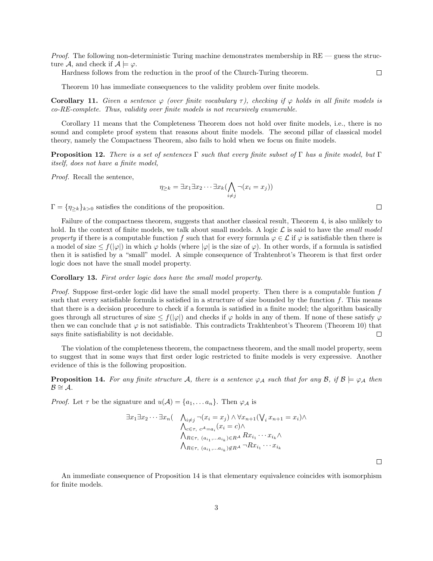*Proof.* The following non-deterministic Turing machine demonstrates membership in  $RE$  — guess the structure A, and check if  $A \models \varphi$ .

Hardness follows from the reduction in the proof of the Church-Turing theorem.

Theorem 10 has immediate consequences to the validity problem over finite models.

Corollary 11. Given a sentence  $\varphi$  (over finite vocabulary  $\tau$ ), checking if  $\varphi$  holds in all finite models is co-RE-complete. Thus, validity over finite models is not recursively enumerable.

Corollary 11 means that the Completeness Theorem does not hold over finite models, i.e., there is no sound and complete proof system that reasons about finite models. The second pillar of classical model theory, namely the Compactness Theorem, also fails to hold when we focus on finite models.

**Proposition 12.** There is a set of sentences Γ such that every finite subset of Γ has a finite model, but Γ itself, does not have a finite model,

Proof. Recall the sentence,

$$
\eta_{\geq k} = \exists x_1 \exists x_2 \cdots \exists x_k (\bigwedge_{i \neq j} \neg (x_i = x_j))
$$

 $\Gamma = \{\eta_{\geq k}\}_{k>0}$  satisfies the conditions of the proposition.

Failure of the compactness theorem, suggests that another classical result, Theorem 4, is also unlikely to hold. In the context of finite models, we talk about small models. A logic  $\mathcal L$  is said to have the *small model* property if there is a computable function f such that for every formula  $\varphi \in \mathcal{L}$  if  $\varphi$  is satisfiable then there is a model of size  $\leq f(|\varphi|)$  in which  $\varphi$  holds (where  $|\varphi|$  is the size of  $\varphi$ ). In other words, if a formula is satisfied then it is satisfied by a "small" model. A simple consequence of Trahtenbrot's Theorem is that first order logic does not have the small model property.

Corollary 13. First order logic does have the small model property.

Proof. Suppose first-order logic did have the small model property. Then there is a computable funtion f such that every satisfiable formula is satisfied in a structure of size bounded by the function  $f$ . This means that there is a decision procedure to check if a formula is satisfied in a finite model; the algorithm basically goes through all structures of size  $\leq f(|\varphi|)$  and checks if  $\varphi$  holds in any of them. If none of these satisfy  $\varphi$ then we can conclude that  $\varphi$  is not satisfiable. This contradicts Trakhtenbrot's Theorem (Theorem 10) that says finite satisfiability is not decidable.  $\Box$ 

The violation of the completeness theorem, the compactness theorem, and the small model property, seem to suggest that in some ways that first order logic restricted to finite models is very expressive. Another evidence of this is the following proposition.

**Proposition 14.** For any finite structure A, there is a sentence  $\varphi_A$  such that for any B, if  $B \models \varphi_A$  then  $\mathcal{B} \cong \mathcal{A}.$ 

*Proof.* Let  $\tau$  be the signature and  $u(A) = \{a_1, \ldots a_n\}$ . Then  $\varphi_A$  is

$$
\exists x_1 \exists x_2 \cdots \exists x_n (\bigwedge_{i \neq j} \neg (x_i = x_j) \land \forall x_{n+1} (\bigvee_i x_{n+1} = x_i) \land \bigvee_{\Lambda_{c \in \tau, c^A = a_i} (x_i = c) \land \bigwedge_{R \in \tau, (a_{i_1}, \dots, a_{i_k}) \in R^A} R x_{i_1} \cdots x_{i_k} \land \bigwedge_{R \in \tau, (a_{i_1}, \dots, a_{i_k}) \notin R^A} \neg R x_{i_1} \cdots x_{i_k}
$$

An immediate consequence of Proposition 14 is that elementary equivalence coincides with isomorphism for finite models.

 $\Box$ 

 $\Box$ 

 $\Box$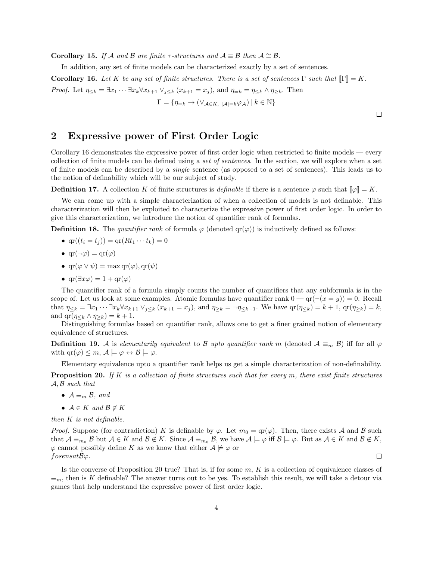**Corollary 15.** If A and B are finite  $\tau$ -structures and  $\mathcal{A} \equiv \mathcal{B}$  then  $\mathcal{A} \cong \mathcal{B}$ .

In addition, any set of finite models can be characterized exactly by a set of sentences.

**Corollary 16.** Let K be any set of finite structures. There is a set of sentences  $\Gamma$  such that  $\llbracket \Gamma \rrbracket = K$ . *Proof.* Let  $\eta_{\leq k} = \exists x_1 \cdots \exists x_k \forall x_{k+1} \vee_{j \leq k} (x_{k+1} = x_j)$ , and  $\eta_{=k} = \eta_{\leq k} \wedge \eta_{\geq k}$ . Then  $\Gamma = \{ \eta_{=k} \to (\vee_{\mathcal{A} \in K, \ |\mathcal{A}| = k} \varphi_{\mathcal{A}}) \, | \, k \in \mathbb{N} \}$ 

 $\Box$ 

# 2 Expressive power of First Order Logic

Corollary 16 demonstrates the expressive power of first order logic when restricted to finite models — every collection of finite models can be defined using a set of sentences. In the section, we will explore when a set of finite models can be described by a single sentence (as opposed to a set of sentences). This leads us to the notion of definability which will be our subject of study.

**Definition 17.** A collection K of finite structures is definable if there is a sentence  $\varphi$  such that  $\|\varphi\| = K$ .

We can come up with a simple characterization of when a collection of models is not definable. This characterization will then be exploited to characterize the expressive power of first order logic. In order to give this characterization, we introduce the notion of quantifier rank of formulas.

**Definition 18.** The quantifier rank of formula  $\varphi$  (denoted  $\text{qr}(\varphi)$ ) is inductively defined as follows:

- $\text{qr}((t_i = t_j)) = \text{qr}(Rt_1 \cdots t_k) = 0$
- $\text{qr}(\neg \varphi) = \text{qr}(\varphi)$
- $\text{qr}(\varphi \vee \psi) = \max \text{qr}(\varphi), \text{qr}(\psi)$
- $\text{qr}(\exists x \varphi) = 1 + \text{qr}(\varphi)$

The quantifier rank of a formula simply counts the number of quantifiers that any subformula is in the scope of. Let us look at some examples. Atomic formulas have quantifier rank  $0 - \text{qr}(\neg(x = y)) = 0$ . Recall that  $\eta_{\leq k} = \exists x_1 \cdots \exists x_k \forall x_{k+1} \vee_{j \leq k} (x_{k+1} = x_j)$ , and  $\eta_{\geq k} = \neg \eta_{\leq k-1}$ . We have  $\text{qr}(\eta_{\leq k}) = k+1$ ,  $\text{qr}(\eta_{\geq k}) = k$ , and  $\text{qr}(\eta_{\leq k} \wedge \eta_{\geq k}) = k + 1$ .

Distinguishing formulas based on quantifier rank, allows one to get a finer grained notion of elementary equivalence of structures.

**Definition 19.** A is elementarily equivalent to B upto quantifier rank m (denoted  $A \equiv_m B$ ) iff for all  $\varphi$ with  $\text{qr}(\varphi) \leq m, \mathcal{A} \models \varphi \leftrightarrow \mathcal{B} \models \varphi.$ 

Elementary equivalence upto a quantifier rank helps us get a simple characterization of non-definability.

**Proposition 20.** If K is a collection of finite structures such that for every m, there exist finite structures  $A, B$  such that

- $A \equiv_m B$ , and
- $A \in K$  and  $B \notin K$

then  $K$  is not definable.

*Proof.* Suppose (for contradiction) K is definable by  $\varphi$ . Let  $m_0 = \text{qr}(\varphi)$ . Then, there exists A and B such that  $\mathcal{A} \equiv_{m_0} \mathcal{B}$  but  $\mathcal{A} \in K$  and  $\mathcal{B} \notin K$ . Since  $\mathcal{A} \equiv_{m_0} \mathcal{B}$ , we have  $\mathcal{A} \models \varphi$  iff  $\mathcal{B} \models \varphi$ . But as  $\mathcal{A} \in K$  and  $\mathcal{B} \notin K$ ,  $\varphi$  cannot possibly define K as we know that either  $\mathcal{A} \not\models \varphi$  or  $\Box$ fosensatBϕ.

Is the converse of Proposition 20 true? That is, if for some  $m, K$  is a collection of equivalence classes of  $\equiv_m$ , then is K definable? The answer turns out to be yes. To establish this result, we will take a detour via games that help understand the expressive power of first order logic.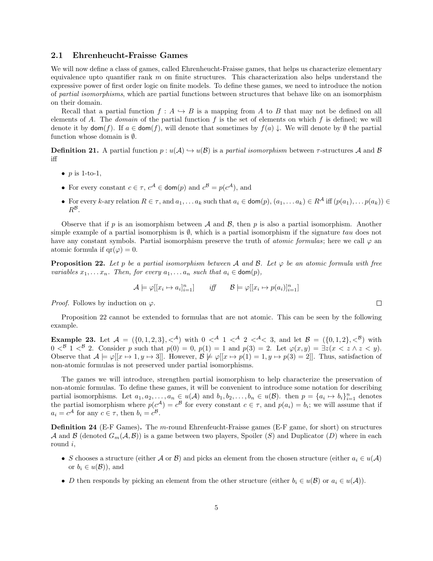#### 2.1 Ehrenheucht-Fraisse Games

We will now define a class of games, called Ehrenheucht-Fraisse games, that helps us characterize elementary equivalence upto quantifier rank  $m$  on finite structures. This characterization also helps understand the expressive power of first order logic on finite models. To define these games, we need to introduce the notion of partial isomorphisms, which are partial functions between structures that behave like on an isomorphism on their domain.

Recall that a partial function  $f : A \hookrightarrow B$  is a mapping from A to B that may not be defined on all elements of A. The *domain* of the partial function  $f$  is the set of elements on which  $f$  is defined; we will denote it by  $\text{dom}(f)$ . If  $a \in \text{dom}(f)$ , will denote that sometimes by  $f(a) \downarrow$ . We will denote by  $\emptyset$  the partial function whose domain is ∅.

**Definition 21.** A partial function  $p : u(A) \hookrightarrow u(B)$  is a partial isomorphism between  $\tau$ -structures A and B iff

- $p$  is 1-to-1,
- For every constant  $c \in \tau$ ,  $c^{\mathcal{A}} \in \text{dom}(p)$  and  $c^{\mathcal{B}} = p(c^{\mathcal{A}})$ , and
- For every k-ary relation  $R \in \tau$ , and  $a_1, \ldots a_k$  such that  $a_i \in \text{dom}(p), (a_1, \ldots a_k) \in R^{\mathcal{A}}$  iff  $(p(a_1), \ldots p(a_k)) \in$  $R^{\mathcal{B}}$ .

Observe that if p is an isomorphism between A and B, then p is also a partial isomorphism. Another simple example of a partial isomorphism is  $\emptyset$ , which is a partial isomorphism if the signature tau does not have any constant symbols. Partial isomorphism preserve the truth of *atomic formulas*; here we call  $\varphi$  and atomic formula if  $qr(\varphi) = 0$ .

**Proposition 22.** Let p be a partial isomorphism between A and B. Let  $\varphi$  be an atomic formula with free variables  $x_1, \ldots x_n$ . Then, for every  $a_1, \ldots a_n$  such that  $a_i \in \text{dom}(p)$ ,

$$
\mathcal{A} \models \varphi[[x_i \mapsto a_i]_{i=1}^n] \qquad \text{iff} \qquad \mathcal{B} \models \varphi[[x_i \mapsto p(a_i)]_{i=1}^n]
$$

*Proof.* Follows by induction on  $\varphi$ .

Proposition 22 cannot be extended to formulas that are not atomic. This can be seen by the following example.

**Example 23.** Let  $A = (\{0, 1, 2, 3\}, \leq^A)$  with  $0 \leq^A 1 \leq^A 2 \leq^A 3$ , and let  $\mathcal{B} = (\{0, 1, 2\}, \leq^B)$  with  $0 < \mathbb{B}$  1  $\lt^{\mathcal{B}}$  2. Consider p such that  $p(0) = 0$ ,  $p(1) = 1$  and  $p(3) = 2$ . Let  $\varphi(x, y) = \exists z(x < z \land z < y)$ . Observe that  $A \models \varphi[[x \mapsto 1, y \mapsto 3]]$ . However,  $B \not\models \varphi[[x \mapsto p(1) = 1, y \mapsto p(3) = 2]]$ . Thus, satisfaction of non-atomic formulas is not preserved under partial isomorphisms.

The games we will introduce, strengthen partial isomorphism to help characterize the preservation of non-atomic formulas. To define these games, it will be convenient to introduce some notation for describing partial isomorphisms. Let  $a_1, a_2, \ldots, a_n \in u(\mathcal{A})$  and  $b_1, b_2, \ldots, b_n \in u(\mathcal{B})$ . then  $p = \{a_i \mapsto b_i\}_{i=1}^n$  denotes the partial isomorphism where  $p(c^{\mathcal{A}}) = c^{\mathcal{B}}$  for every constant  $c \in \tau$ , and  $p(a_i) = b_i$ ; we will assume that if  $a_i = c^{\mathcal{A}}$  for any  $c \in \tau$ , then  $b_i = c^{\mathcal{B}}$ .

Definition 24 (E-F Games). The m-round Ehrenfeucht-Fraisse games (E-F game, for short) on structures A and B (denoted  $G_m(\mathcal{A}, \mathcal{B})$ ) is a game between two players, Spoiler (S) and Duplicator (D) where in each round i,

- S chooses a structure (either A or B) and picks an element from the chosen structure (either  $a_i \in u(\mathcal{A})$ or  $b_i \in u(\mathcal{B})$ , and
- D then responds by picking an element from the other structure (either  $b_i \in u(\mathcal{B})$  or  $a_i \in u(\mathcal{A})$ ).

 $\Box$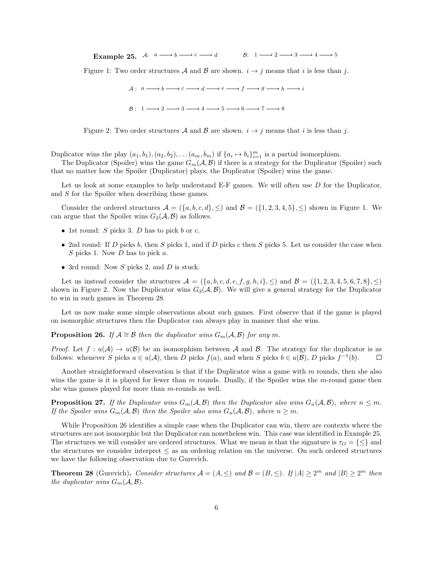Example 25. A:  $a \longrightarrow b \longrightarrow c \longrightarrow d$   $B: 1 \longrightarrow 2 \longrightarrow 3 \longrightarrow 4 \longrightarrow 5$ 

Figure 1: Two order structures A and B are shown.  $i \rightarrow j$  means that i is less than j.

|  | $A: a \longrightarrow b \longrightarrow c \longrightarrow d \longrightarrow e \longrightarrow f \longrightarrow g \longrightarrow h \longrightarrow i$ |  |
|--|--------------------------------------------------------------------------------------------------------------------------------------------------------|--|
|  | $\mathcal{B}: 1 \longrightarrow 2 \longrightarrow 3 \longrightarrow 4 \longrightarrow 5 \longrightarrow 6 \longrightarrow 7 \longrightarrow 8$         |  |



Duplicator wins the play  $(a_1, b_1), (a_2, b_2), \ldots (a_m, b_m)$  if  $\{a_i \mapsto b_i\}_{i=1}^m$  is a partial isomorphism.

The Duplicator (Spoiler) wins the game  $G_m(\mathcal{A}, \mathcal{B})$  if there is a strategy for the Duplicator (Spoiler) such that no matter how the Spoiler (Duplicator) plays, the Duplicator (Spoiler) wins the game.

Let us look at some examples to help understand  $E-F$  games. We will often use  $D$  for the Duplicator, and S for the Spoiler when describing these games.

Consider the ordered structures  $\mathcal{A} = (\{a, b, c, d\}, \leq)$  and  $\mathcal{B} = (\{1, 2, 3, 4, 5\}, \leq)$  shown in Figure 1. We can argue that the Spoiler wins  $G_3(\mathcal{A}, \mathcal{B})$  as follows.

- 1st round:  $S$  picks 3.  $D$  has to pick  $b$  or  $c$ .
- 2nd round: If D picks b, then S picks 1, and if D picks c then S picks 5. Let us consider the case when  $S$  picks 1. Now  $D$  has to pick  $a$ .
- 3rd round: Now  $S$  picks 2, and  $D$  is stuck.

Let us instead consider the structures  $\mathcal{A} = (\{a, b, c, d, e, f, g, h, i\}, \leq)$  and  $\mathcal{B} = (\{1, 2, 3, 4, 5, 6, 7, 8\}, \leq)$ shown in Figure 2. Now the Duplicator wins  $G_3(\mathcal{A}, \mathcal{B})$ . We will give a general strategy for the Duplicator to win in such games in Theorem 28.

Let us now make some simple observations about such games. First observe that if the game is played on isomorphic structures then the Duplicator can always play in manner that she wins.

**Proposition 26.** If  $A \cong B$  then the duplicator wins  $G_m(A, B)$  for any m.

*Proof.* Let  $f: u(\mathcal{A}) \to u(\mathcal{B})$  be an isomorphism between  $\mathcal{A}$  and  $\mathcal{B}$ . The strategy for the duplicator is as follows: whenever S picks  $a \in u(\mathcal{A})$ , then D picks  $f(a)$ , and when S picks  $b \in u(\mathcal{B})$ , D picks  $f^{-1}(b)$ .  $\Box$ 

Another straightforward observation is that if the Duplicator wins a game with m rounds, then she also wins the game is it is played for fewer than  $m$  rounds. Dually, if the Spoiler wins the  $m$ -round game then she wins games played for more than  $m$ -rounds as well.

**Proposition 27.** If the Duplicator wins  $G_m(\mathcal{A}, \mathcal{B})$  then the Duplicator also wins  $G_n(\mathcal{A}, \mathcal{B})$ , where  $n \leq m$ . If the Spoiler wins  $G_m(\mathcal{A}, \mathcal{B})$  then the Spoiler also wins  $G_n(\mathcal{A}, \mathcal{B})$ , where  $n \geq m$ .

While Proposition 26 identifies a simple case when the Duplicator can win, there are contexts where the structures are not isomorphic but the Duplicator can nonetheless win. This case was identified in Example 25. The structures we will consider are ordered structures. What we mean is that the signature is  $\tau_0 = \{\leq\}$  and the structures we consider interpret  $\leq$  as an ordering relation on the universe. On such ordered structures we have the following observation due to Gurevich.

**Theorem 28** (Gurevich). Consider structures  $A = (A, \leq)$  and  $B = (B, \leq)$ . If  $|A| \geq 2^m$  and  $|B| \geq 2^m$  then the duplicator wins  $G_m(\mathcal{A}, \mathcal{B})$ .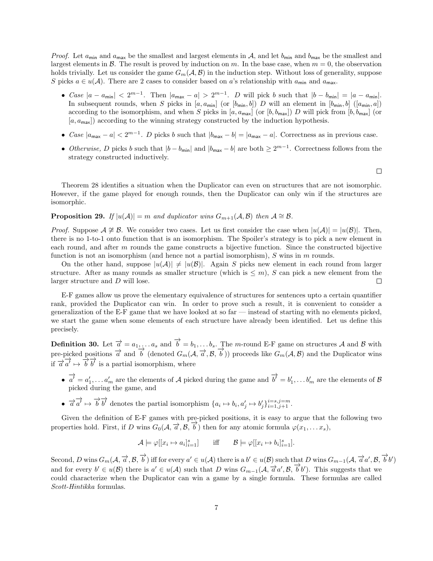*Proof.* Let  $a_{\min}$  and  $a_{\max}$  be the smallest and largest elements in A, and let  $b_{\min}$  and  $b_{\max}$  be the smallest and largest elements in  $\beta$ . The result is proved by induction on m. In the base case, when  $m = 0$ , the observation holds trivially. Let us consider the game  $G_m(\mathcal{A}, \mathcal{B})$  in the induction step. Without loss of generality, suppose S picks  $a \in u(\mathcal{A})$ . There are 2 cases to consider based on a's relationship with  $a_{\min}$  and  $a_{\max}$ .

- Case  $|a a_{\min}| < 2^{m-1}$ . Then  $|a_{\max} a| > 2^{m-1}$ . D will pick b such that  $|b b_{\min}| = |a a_{\min}|$ . In subsequent rounds, when S picks in  $[a, a_{\min}]$  (or  $[b_{\min}, b]$ ) D will an element in  $[b_{\min}, b]$  ( $[a_{\min}, a]$ ) according to the isomorphism, and when S picks in  $[a, a_{\text{max}}]$  (or  $[b, b_{\text{max}}]$ ) D will pick from  $[b, b_{\text{max}}]$  (or  $[a, a_{\text{max}}]$  according to the winning strategy constructed by the induction hypothesis.
- Case  $|a_{\text{max}} a| < 2^{m-1}$ . D picks b such that  $|b_{\text{max}} b| = |a_{\text{max}} a|$ . Correctness as in previous case.
- Otherwise, D picks b such that  $|b b_{\min}|$  and  $|b_{\max} b|$  are both  $\geq 2^{m-1}$ . Correctness follows from the strategy constructed inductively.

 $\Box$ 

Theorem 28 identifies a situation when the Duplicator can even on structures that are not isomorphic. However, if the game played for enough rounds, then the Duplicator can only win if the structures are isomorphic.

#### **Proposition 29.** If  $|u(A)| = m$  and duplicator wins  $G_{m+1}(A, B)$  then  $A \cong B$ .

*Proof.* Suppose  $A \not\cong B$ . We consider two cases. Let us first consider the case when  $|u(A)| = |u(B)|$ . Then, there is no 1-to-1 onto function that is an isomorphism. The Spoiler's strategy is to pick a new element in each round, and after m rounds the game constructs a bijective function. Since the constructed bijective function is not an isomorphism (and hence not a partial isomorphism),  $S$  wins in  $m$  rounds.

On the other hand, suppose  $|u(A)| \neq |u(B)|$ . Again S picks new element in each round from larger structure. After as many rounds as smaller structure (which is  $\leq m$ ), S can pick a new element from the larger structure and D will lose.  $\Box$ 

E-F games allow us prove the elementary equivalence of structures for sentences upto a certain quantifier rank, provided the Duplicator can win. In order to prove such a result, it is convenient to consider a generalization of the E-F game that we have looked at so far — instead of starting with no elements picked, we start the game when some elements of each structure have already been identified. Let us define this precisely.

**Definition 30.** Let  $\overrightarrow{a} = a_1, \ldots a_s$  and  $\overrightarrow{b} = b_1, \ldots b_s$ . The m-round E-F game on structures A and B with **Definition 50:** Let  $\alpha = a_1, \ldots, a_s$  and  $\beta = b_1, \ldots, b_s$ . The *m* found E I gaint on structures A and D with pre-picked positions  $\overrightarrow{a}$  and  $\overrightarrow{b}$  (denoted  $G_m(\mathcal{A}, \overrightarrow{a}, \mathcal{B}, \overrightarrow{b})$ ) proceeds like  $G_m(\mathcal{A}, \mathcal{B})$ if  $\overrightarrow{a}$   $\overrightarrow{a}$   $\overrightarrow{b}$   $\overrightarrow{b}$  is a partial isomorphism, where

- $\overrightarrow{a'} = a'_1, \ldots a'_m$  are the elements of A picked during the game and  $\overrightarrow{b'} = b'_1, \ldots b'_m$  are the elements of B picked during the game, and
- $\overrightarrow{a} \overrightarrow{a} \mapsto \overrightarrow{b} \overrightarrow{b}$  denotes the partial isomorphism  $\{a_i \mapsto b_i, a'_j \mapsto b'_j\}_{i=1,j+1}^{i=s, j=m}$ .

Given the definition of E-F games with pre-picked positions, it is easy to argue that the following two properties hold. First, if D wins  $G_0(\mathcal{A}, \vec{\alpha}, \mathcal{B}, \vec{b})$  then for any atomic formula  $\varphi(x_1, \ldots x_s)$ ,

$$
\mathcal{A} \models \varphi[[x_i \mapsto a_i]_{i=1}^s] \quad \text{iff} \quad \mathcal{B} \models \varphi[[x_i \mapsto b_i]_{i=1}^s].
$$

Second, D wins  $G_m(\mathcal{A}, \overrightarrow{a}, \mathcal{B}, \overrightarrow{b})$  iff for every  $a' \in u(\mathcal{A})$  there is a  $b' \in u(\mathcal{B})$  such that D wins  $G_{m-1}(\mathcal{A}, \overrightarrow{a}a', \mathcal{B}, \overrightarrow{b}b')$ and for every  $b' \in u(\mathcal{B})$  there is  $a' \in u(\mathcal{A})$  such that D wins  $G_{m-1}(\mathcal{A}, \vec{a}a', \mathcal{B}, \vec{b}b')$ . This suggests that we could characterize when the Duplicator can win a game by a single formula. These formulas are called Scott-Hintikka formulas.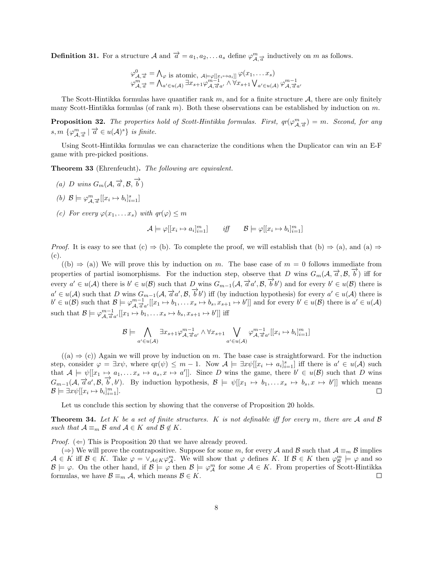**Definition 31.** For a structure  $\mathcal{A}$  and  $\overrightarrow{a} = a_1, a_2, \ldots a_s$  define  $\varphi^m_{\mathcal{A}, \overrightarrow{a}}$  inductively on m as follows.

$$
\varphi_{\mathcal{A}, \overrightarrow{a}}^0 = \bigwedge_{\varphi} \text{ is atomic}, \underset{\mathcal{A} \models \varphi[[x_i \mapsto a_i]]}{\operatorname{atomic}}, \underset{\mathcal{A} \models \varphi[[x_i \mapsto a_i]]}{\operatorname{pi}} \varphi(x_1, \dots x_s)
$$
\n
$$
\varphi_{\mathcal{A}, \overrightarrow{a}}^m = \bigwedge_{a' \in u(\mathcal{A})} \exists x_{s+1} \varphi_{\mathcal{A}, \overrightarrow{a}}^{m-1} \varphi_{\mathcal{A}, \overrightarrow{a}}^{m-1} \vee \varphi_{\mathcal{A}, \overrightarrow{a}}^{m-1} \varphi_{\mathcal{A}, \overrightarrow{a}}^{m-1}
$$

The Scott-Hintikka formulas have quantifier rank  $m$ , and for a finite structure  $\mathcal{A}$ , there are only finitely many Scott-Hintikka formulas (of rank m). Both these observations can be established by induction on m.

**Proposition 32.** The properties hold of Scott-Hintikka formulas. First,  $qr(\varphi_{\mathcal{A},\vec{\sigma}}^m) = m$ . Second, for any  $s, m \{ \varphi_{\mathcal{A}, \overrightarrow{a}}^m \mid \overrightarrow{a} \in u(\mathcal{A})^s \}$  is finite.

Using Scott-Hintikka formulas we can characterize the conditions when the Duplicator can win an E-F game with pre-picked positions.

Theorem 33 (Ehrenfeucht). The following are equivalent.

- (a) D wins  $G_m(\mathcal{A}, \overrightarrow{a}, \mathcal{B}, \overrightarrow{b})$
- (b)  $\mathcal{B} \models \varphi_{\mathcal{A}, \overrightarrow{a}}^{m}[[x_i \mapsto b_i]_{i=1}^s]$
- (c) For every  $\varphi(x_1, \ldots x_s)$  with  $qr(\varphi) \leq m$

$$
\mathcal{A} \models \varphi[[x_i \mapsto a_i]^m_{i=1}] \qquad \text{iff} \qquad \mathcal{B} \models \varphi[[x_i \mapsto b_i]^m_{i=1}]
$$

*Proof.* It is easy to see that  $(c) \Rightarrow (b)$ . To complete the proof, we will establish that  $(b) \Rightarrow (a)$ , and  $(a) \Rightarrow$ (c).

 $((b) \Rightarrow (a))$  We will prove this by induction on m. The base case of  $m = 0$  follows immediate from properties of partial isomorphisms. For the induction step, observe that D wins  $G_m(\mathcal{A}, \vec{\alpha}, \mathcal{B}, \vec{b})$  iff for every  $a' \in u(\mathcal{A})$  there is  $b' \in u(\mathcal{B})$  such that D wins  $G_{m-1}(\mathcal{A}, \vec{a}a', \mathcal{B}, \vec{b}b')$  and for every  $b' \in u(\mathcal{B})$  there is  $a' \in u(\mathcal{A})$  such that D wins  $G_{m-1}(\mathcal{A}, \vec{a}a', \mathcal{B}, \vec{b'}')$  iff (by induction hypothesis) for every  $a' \in u(\mathcal{A})$  there is  $b' \in u(\mathcal{B})$  such that  $\mathcal{B} \models \varphi_{\mathcal{A}, \vec{a} a'}^{m-1}[x_1 \mapsto b_1, \dots x_s \mapsto b_s, x_{s+1} \mapsto b']$  and for every  $b' \in u(\mathcal{B})$  there is  $a' \in u(\mathcal{A})$ such that  $\mathcal{B} \models \varphi_{\mathcal{A}, \overrightarrow{a}a'}^{m-1}[[x_1 \mapsto b_1, \ldots x_s \mapsto b_s, x_{s+1} \mapsto b']]$  iff

$$
\mathcal{B} \models \bigwedge_{a' \in u(\mathcal{A})} \exists x_{s+1} \varphi_{\mathcal{A}, \overrightarrow{a}a'}^{m-1} \land \forall x_{s+1} \bigvee_{a' \in u(\mathcal{A})} \varphi_{\mathcal{A}, \overrightarrow{a}a'}^{m-1}[[x_i \mapsto b_i]_{i=1}^m]
$$

 $((a) \Rightarrow (c))$  Again we will prove by induction on m. The base case is straightforward. For the induction step, consider  $\varphi = \exists x \psi$ , where  $\text{qr}(\psi) \leq m - 1$ . Now  $\mathcal{A} \models \exists x \psi[[x_i \mapsto a_i]_{i=1}^s]$  iff there is  $a' \in u(\mathcal{A})$  such that  $A \models \psi[[x_1 \mapsto a_1, \ldots x_s \mapsto a_s, x \mapsto a']$ . Since D wins the game, there  $b' \in u(\mathcal{B})$  such that D wins  $G_{m-1}(\mathcal{A}, \overrightarrow{a}a', \mathcal{B}, \overrightarrow{b}, b')$ . By induction hypothesis,  $\mathcal{B} \models \psi[[x_1 \mapsto b_1, \ldots x_s \mapsto b_s, x \mapsto b']$  which means  $\mathcal{B} \models \exists x \psi[[x_i \mapsto b_i]_{i=1}^m].$  $\Box$ 

Let us conclude this section by showing that the converse of Proposition 20 holds.

**Theorem 34.** Let K be a set of finite structures. K is not definable iff for every m, there are A and B such that  $A \equiv_m \mathcal{B}$  and  $A \in K$  and  $\mathcal{B} \notin K$ .

*Proof.* ( $\Leftarrow$ ) This is Proposition 20 that we have already proved.

(⇒) We will prove the contrapositive. Suppose for some m, for every A and B such that  $\mathcal{A} \equiv_m \mathcal{B}$  implies  $\mathcal{A} \in K$  iff  $\mathcal{B} \in K$ . Take  $\varphi = \vee_{\mathcal{A} \in K} \varphi_{\mathcal{A}}^m$ . We will show that  $\varphi$  defines K. If  $\mathcal{B} \in K$  then  $\varphi_{\mathcal{B}}^m \models \varphi$  and so  $\mathcal{B} \models \varphi$ . On the other hand, if  $\mathcal{B} \models \varphi$  then  $\mathcal{B} \models \varphi_{\mathcal{A}}^m$  for some  $\mathcal{A} \in K$ . From properties of Scott-Hintikka formulas, we have  $\mathcal{B} \equiv_m \mathcal{A}$ , which means  $\mathcal{B} \in K$ .